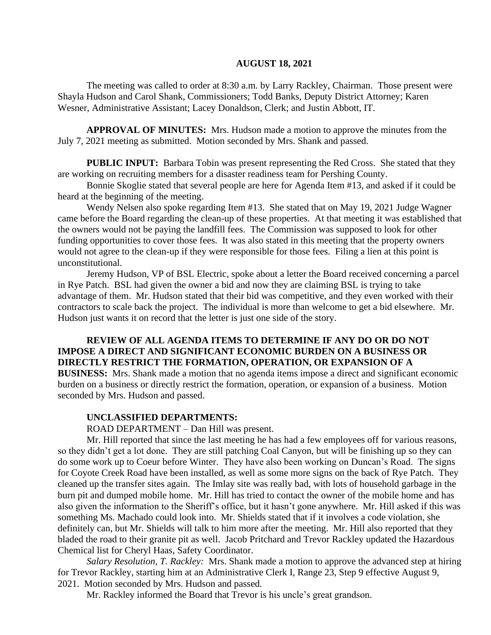#### **AUGUST 18, 2021**

The meeting was called to order at 8:30 a.m. by Larry Rackley, Chairman. Those present were Shayla Hudson and Carol Shank, Commissioners; Todd Banks, Deputy District Attorney; Karen Wesner, Administrative Assistant; Lacey Donaldson, Clerk; and Justin Abbott, IT.

**APPROVAL OF MINUTES:** Mrs. Hudson made a motion to approve the minutes from the July 7, 2021 meeting as submitted. Motion seconded by Mrs. Shank and passed.

**PUBLIC INPUT:** Barbara Tobin was present representing the Red Cross. She stated that they are working on recruiting members for a disaster readiness team for Pershing County.

Bonnie Skoglie stated that several people are here for Agenda Item #13, and asked if it could be heard at the beginning of the meeting.

Wendy Nelsen also spoke regarding Item #13. She stated that on May 19, 2021 Judge Wagner came before the Board regarding the clean-up of these properties. At that meeting it was established that the owners would not be paying the landfill fees. The Commission was supposed to look for other funding opportunities to cover those fees. It was also stated in this meeting that the property owners would not agree to the clean-up if they were responsible for those fees. Filing a lien at this point is unconstitutional.

Jeremy Hudson, VP of BSL Electric, spoke about a letter the Board received concerning a parcel in Rye Patch. BSL had given the owner a bid and now they are claiming BSL is trying to take advantage of them. Mr. Hudson stated that their bid was competitive, and they even worked with their contractors to scale back the project. The individual is more than welcome to get a bid elsewhere. Mr. Hudson just wants it on record that the letter is just one side of the story.

# **REVIEW OF ALL AGENDA ITEMS TO DETERMINE IF ANY DO OR DO NOT IMPOSE A DIRECT AND SIGNIFICANT ECONOMIC BURDEN ON A BUSINESS OR DIRECTLY RESTRICT THE FORMATION, OPERATION, OR EXPANSION OF A**

**BUSINESS:** Mrs. Shank made a motion that no agenda items impose a direct and significant economic burden on a business or directly restrict the formation, operation, or expansion of a business. Motion seconded by Mrs. Hudson and passed.

#### **UNCLASSIFIED DEPARTMENTS:**

ROAD DEPARTMENT – Dan Hill was present.

Mr. Hill reported that since the last meeting he has had a few employees off for various reasons, so they didn't get a lot done. They are still patching Coal Canyon, but will be finishing up so they can do some work up to Coeur before Winter. They have also been working on Duncan's Road. The signs for Coyote Creek Road have been installed, as well as some more signs on the back of Rye Patch. They cleaned up the transfer sites again. The Imlay site was really bad, with lots of household garbage in the burn pit and dumped mobile home. Mr. Hill has tried to contact the owner of the mobile home and has also given the information to the Sheriff's office, but it hasn't gone anywhere. Mr. Hill asked if this was something Ms. Machado could look into. Mr. Shields stated that if it involves a code violation, she definitely can, but Mr. Shields will talk to him more after the meeting. Mr. Hill also reported that they bladed the road to their granite pit as well. Jacob Pritchard and Trevor Rackley updated the Hazardous Chemical list for Cheryl Haas, Safety Coordinator.

*Salary Resolution, T. Rackley:* Mrs. Shank made a motion to approve the advanced step at hiring for Trevor Rackley, starting him at an Administrative Clerk I, Range 23, Step 9 effective August 9, 2021. Motion seconded by Mrs. Hudson and passed.

Mr. Rackley informed the Board that Trevor is his uncle's great grandson.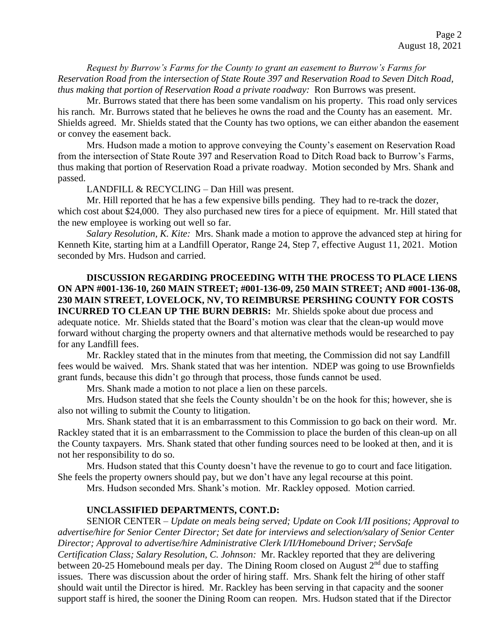*Request by Burrow's Farms for the County to grant an easement to Burrow's Farms for Reservation Road from the intersection of State Route 397 and Reservation Road to Seven Ditch Road, thus making that portion of Reservation Road a private roadway:* Ron Burrows was present.

Mr. Burrows stated that there has been some vandalism on his property. This road only services his ranch. Mr. Burrows stated that he believes he owns the road and the County has an easement. Mr. Shields agreed. Mr. Shields stated that the County has two options, we can either abandon the easement or convey the easement back.

Mrs. Hudson made a motion to approve conveying the County's easement on Reservation Road from the intersection of State Route 397 and Reservation Road to Ditch Road back to Burrow's Farms, thus making that portion of Reservation Road a private roadway. Motion seconded by Mrs. Shank and passed.

LANDFILL & RECYCLING – Dan Hill was present.

Mr. Hill reported that he has a few expensive bills pending. They had to re-track the dozer, which cost about \$24,000. They also purchased new tires for a piece of equipment. Mr. Hill stated that the new employee is working out well so far.

*Salary Resolution, K. Kite:* Mrs. Shank made a motion to approve the advanced step at hiring for Kenneth Kite, starting him at a Landfill Operator, Range 24, Step 7, effective August 11, 2021. Motion seconded by Mrs. Hudson and carried.

**DISCUSSION REGARDING PROCEEDING WITH THE PROCESS TO PLACE LIENS ON APN #001-136-10, 260 MAIN STREET; #001-136-09, 250 MAIN STREET; AND #001-136-08, 230 MAIN STREET, LOVELOCK, NV, TO REIMBURSE PERSHING COUNTY FOR COSTS INCURRED TO CLEAN UP THE BURN DEBRIS:** Mr. Shields spoke about due process and adequate notice. Mr. Shields stated that the Board's motion was clear that the clean-up would move forward without charging the property owners and that alternative methods would be researched to pay for any Landfill fees.

Mr. Rackley stated that in the minutes from that meeting, the Commission did not say Landfill fees would be waived. Mrs. Shank stated that was her intention. NDEP was going to use Brownfields grant funds, because this didn't go through that process, those funds cannot be used.

Mrs. Shank made a motion to not place a lien on these parcels.

Mrs. Hudson stated that she feels the County shouldn't be on the hook for this; however, she is also not willing to submit the County to litigation.

Mrs. Shank stated that it is an embarrassment to this Commission to go back on their word. Mr. Rackley stated that it is an embarrassment to the Commission to place the burden of this clean-up on all the County taxpayers. Mrs. Shank stated that other funding sources need to be looked at then, and it is not her responsibility to do so.

Mrs. Hudson stated that this County doesn't have the revenue to go to court and face litigation. She feels the property owners should pay, but we don't have any legal recourse at this point.

Mrs. Hudson seconded Mrs. Shank's motion. Mr. Rackley opposed. Motion carried.

# **UNCLASSIFIED DEPARTMENTS, CONT.D:**

SENIOR CENTER – *Update on meals being served; Update on Cook I/II positions; Approval to advertise/hire for Senior Center Director; Set date for interviews and selection/salary of Senior Center Director; Approval to advertise/hire Administrative Clerk I/II/Homebound Driver; ServSafe Certification Class; Salary Resolution, C. Johnson:* Mr. Rackley reported that they are delivering between 20-25 Homebound meals per day. The Dining Room closed on August 2<sup>nd</sup> due to staffing issues. There was discussion about the order of hiring staff. Mrs. Shank felt the hiring of other staff should wait until the Director is hired. Mr. Rackley has been serving in that capacity and the sooner support staff is hired, the sooner the Dining Room can reopen. Mrs. Hudson stated that if the Director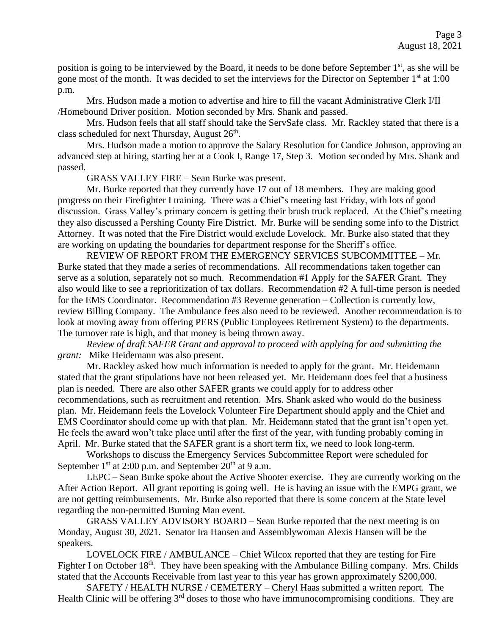position is going to be interviewed by the Board, it needs to be done before September 1<sup>st</sup>, as she will be gone most of the month. It was decided to set the interviews for the Director on September  $1<sup>st</sup>$  at 1:00 p.m.

Mrs. Hudson made a motion to advertise and hire to fill the vacant Administrative Clerk I/II /Homebound Driver position. Motion seconded by Mrs. Shank and passed.

Mrs. Hudson feels that all staff should take the ServSafe class. Mr. Rackley stated that there is a class scheduled for next Thursday, August  $26<sup>th</sup>$ .

Mrs. Hudson made a motion to approve the Salary Resolution for Candice Johnson, approving an advanced step at hiring, starting her at a Cook I, Range 17, Step 3. Motion seconded by Mrs. Shank and passed.

GRASS VALLEY FIRE – Sean Burke was present.

Mr. Burke reported that they currently have 17 out of 18 members. They are making good progress on their Firefighter I training. There was a Chief's meeting last Friday, with lots of good discussion. Grass Valley's primary concern is getting their brush truck replaced. At the Chief's meeting they also discussed a Pershing County Fire District. Mr. Burke will be sending some info to the District Attorney. It was noted that the Fire District would exclude Lovelock. Mr. Burke also stated that they are working on updating the boundaries for department response for the Sheriff's office.

REVIEW OF REPORT FROM THE EMERGENCY SERVICES SUBCOMMITTEE – Mr. Burke stated that they made a series of recommendations. All recommendations taken together can serve as a solution, separately not so much. Recommendation #1 Apply for the SAFER Grant. They also would like to see a reprioritization of tax dollars. Recommendation #2 A full-time person is needed for the EMS Coordinator. Recommendation #3 Revenue generation – Collection is currently low, review Billing Company. The Ambulance fees also need to be reviewed. Another recommendation is to look at moving away from offering PERS (Public Employees Retirement System) to the departments. The turnover rate is high, and that money is being thrown away.

*Review of draft SAFER Grant and approval to proceed with applying for and submitting the grant:* Mike Heidemann was also present.

Mr. Rackley asked how much information is needed to apply for the grant. Mr. Heidemann stated that the grant stipulations have not been released yet. Mr. Heidemann does feel that a business plan is needed. There are also other SAFER grants we could apply for to address other recommendations, such as recruitment and retention. Mrs. Shank asked who would do the business plan. Mr. Heidemann feels the Lovelock Volunteer Fire Department should apply and the Chief and EMS Coordinator should come up with that plan. Mr. Heidemann stated that the grant isn't open yet. He feels the award won't take place until after the first of the year, with funding probably coming in April. Mr. Burke stated that the SAFER grant is a short term fix, we need to look long-term.

Workshops to discuss the Emergency Services Subcommittee Report were scheduled for September  $1<sup>st</sup>$  at 2:00 p.m. and September  $20<sup>th</sup>$  at 9 a.m.

LEPC – Sean Burke spoke about the Active Shooter exercise. They are currently working on the After Action Report. All grant reporting is going well. He is having an issue with the EMPG grant, we are not getting reimbursements. Mr. Burke also reported that there is some concern at the State level regarding the non-permitted Burning Man event.

GRASS VALLEY ADVISORY BOARD – Sean Burke reported that the next meeting is on Monday, August 30, 2021. Senator Ira Hansen and Assemblywoman Alexis Hansen will be the speakers.

LOVELOCK FIRE / AMBULANCE – Chief Wilcox reported that they are testing for Fire Fighter I on October 18<sup>th</sup>. They have been speaking with the Ambulance Billing company. Mrs. Childs stated that the Accounts Receivable from last year to this year has grown approximately \$200,000.

SAFETY / HEALTH NURSE / CEMETERY – Cheryl Haas submitted a written report. The Health Clinic will be offering  $3<sup>rd</sup>$  doses to those who have immunocompromising conditions. They are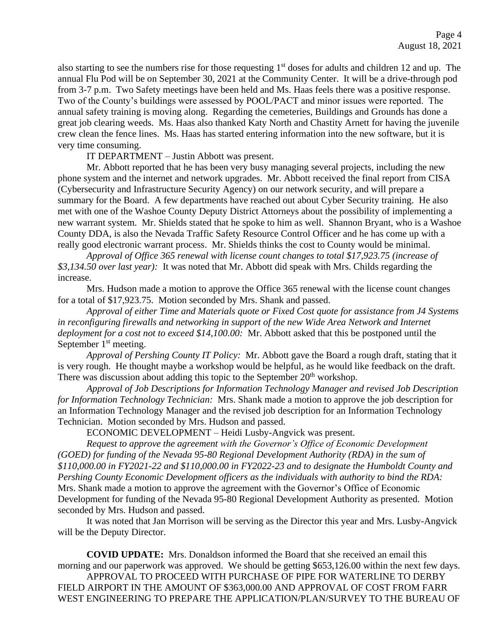also starting to see the numbers rise for those requesting 1<sup>st</sup> doses for adults and children 12 and up. The annual Flu Pod will be on September 30, 2021 at the Community Center. It will be a drive-through pod from 3-7 p.m. Two Safety meetings have been held and Ms. Haas feels there was a positive response. Two of the County's buildings were assessed by POOL/PACT and minor issues were reported. The annual safety training is moving along. Regarding the cemeteries, Buildings and Grounds has done a great job clearing weeds. Ms. Haas also thanked Katy North and Chastity Arnett for having the juvenile crew clean the fence lines. Ms. Haas has started entering information into the new software, but it is very time consuming.

IT DEPARTMENT – Justin Abbott was present.

Mr. Abbott reported that he has been very busy managing several projects, including the new phone system and the internet and network upgrades. Mr. Abbott received the final report from CISA (Cybersecurity and Infrastructure Security Agency) on our network security, and will prepare a summary for the Board. A few departments have reached out about Cyber Security training. He also met with one of the Washoe County Deputy District Attorneys about the possibility of implementing a new warrant system. Mr. Shields stated that he spoke to him as well. Shannon Bryant, who is a Washoe County DDA, is also the Nevada Traffic Safety Resource Control Officer and he has come up with a really good electronic warrant process. Mr. Shields thinks the cost to County would be minimal.

*Approval of Office 365 renewal with license count changes to total \$17,923.75 (increase of \$3,134.50 over last year):* It was noted that Mr. Abbott did speak with Mrs. Childs regarding the increase.

Mrs. Hudson made a motion to approve the Office 365 renewal with the license count changes for a total of \$17,923.75. Motion seconded by Mrs. Shank and passed.

*Approval of either Time and Materials quote or Fixed Cost quote for assistance from J4 Systems in reconfiguring firewalls and networking in support of the new Wide Area Network and Internet deployment for a cost not to exceed \$14,100.00:* Mr. Abbott asked that this be postponed until the September  $1<sup>st</sup>$  meeting.

*Approval of Pershing County IT Policy:* Mr. Abbott gave the Board a rough draft, stating that it is very rough. He thought maybe a workshop would be helpful, as he would like feedback on the draft. There was discussion about adding this topic to the September  $20<sup>th</sup>$  workshop.

*Approval of Job Descriptions for Information Technology Manager and revised Job Description for Information Technology Technician:* Mrs. Shank made a motion to approve the job description for an Information Technology Manager and the revised job description for an Information Technology Technician. Motion seconded by Mrs. Hudson and passed.

ECONOMIC DEVELOPMENT – Heidi Lusby-Angvick was present.

*Request to approve the agreement with the Governor's Office of Economic Development (GOED) for funding of the Nevada 95-80 Regional Development Authority (RDA) in the sum of \$110,000.00 in FY2021-22 and \$110,000.00 in FY2022-23 and to designate the Humboldt County and Pershing County Economic Development officers as the individuals with authority to bind the RDA:*  Mrs. Shank made a motion to approve the agreement with the Governor's Office of Economic Development for funding of the Nevada 95-80 Regional Development Authority as presented. Motion seconded by Mrs. Hudson and passed.

It was noted that Jan Morrison will be serving as the Director this year and Mrs. Lusby-Angvick will be the Deputy Director.

**COVID UPDATE:** Mrs. Donaldson informed the Board that she received an email this morning and our paperwork was approved. We should be getting \$653,126.00 within the next few days.

APPROVAL TO PROCEED WITH PURCHASE OF PIPE FOR WATERLINE TO DERBY FIELD AIRPORT IN THE AMOUNT OF \$363,000.00 AND APPROVAL OF COST FROM FARR WEST ENGINEERING TO PREPARE THE APPLICATION/PLAN/SURVEY TO THE BUREAU OF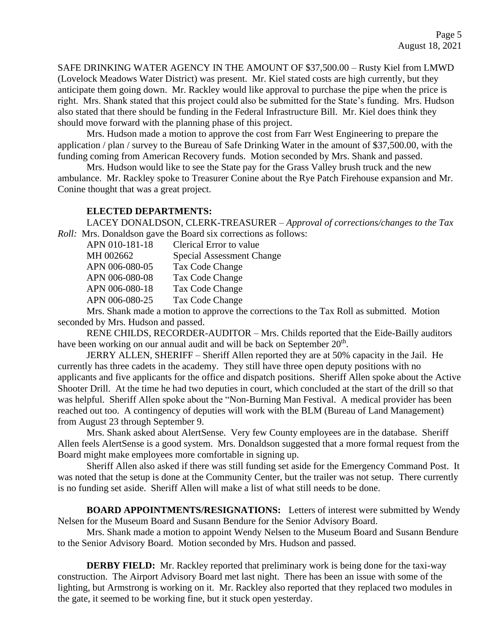SAFE DRINKING WATER AGENCY IN THE AMOUNT OF \$37,500.00 – Rusty Kiel from LMWD (Lovelock Meadows Water District) was present. Mr. Kiel stated costs are high currently, but they anticipate them going down. Mr. Rackley would like approval to purchase the pipe when the price is right. Mrs. Shank stated that this project could also be submitted for the State's funding. Mrs. Hudson also stated that there should be funding in the Federal Infrastructure Bill. Mr. Kiel does think they should move forward with the planning phase of this project.

Mrs. Hudson made a motion to approve the cost from Farr West Engineering to prepare the application / plan / survey to the Bureau of Safe Drinking Water in the amount of \$37,500.00, with the funding coming from American Recovery funds. Motion seconded by Mrs. Shank and passed.

Mrs. Hudson would like to see the State pay for the Grass Valley brush truck and the new ambulance. Mr. Rackley spoke to Treasurer Conine about the Rye Patch Firehouse expansion and Mr. Conine thought that was a great project.

### **ELECTED DEPARTMENTS:**

LACEY DONALDSON, CLERK-TREASURER – *Approval of corrections/changes to the Tax Roll:* Mrs. Donaldson gave the Board six corrections as follows:

| APN 010-181-18 | Clerical Error to value   |
|----------------|---------------------------|
| MH 002662      | Special Assessment Change |
| APN 006-080-05 | Tax Code Change           |
| APN 006-080-08 | Tax Code Change           |
| APN 006-080-18 | Tax Code Change           |
| APN 006-080-25 | Tax Code Change           |
|                |                           |

Mrs. Shank made a motion to approve the corrections to the Tax Roll as submitted. Motion seconded by Mrs. Hudson and passed.

RENE CHILDS, RECORDER-AUDITOR – Mrs. Childs reported that the Eide-Bailly auditors have been working on our annual audit and will be back on September  $20<sup>th</sup>$ .

JERRY ALLEN, SHERIFF – Sheriff Allen reported they are at 50% capacity in the Jail. He currently has three cadets in the academy. They still have three open deputy positions with no applicants and five applicants for the office and dispatch positions. Sheriff Allen spoke about the Active Shooter Drill. At the time he had two deputies in court, which concluded at the start of the drill so that was helpful. Sheriff Allen spoke about the "Non-Burning Man Festival. A medical provider has been reached out too. A contingency of deputies will work with the BLM (Bureau of Land Management) from August 23 through September 9.

Mrs. Shank asked about AlertSense. Very few County employees are in the database. Sheriff Allen feels AlertSense is a good system. Mrs. Donaldson suggested that a more formal request from the Board might make employees more comfortable in signing up.

Sheriff Allen also asked if there was still funding set aside for the Emergency Command Post. It was noted that the setup is done at the Community Center, but the trailer was not setup. There currently is no funding set aside. Sheriff Allen will make a list of what still needs to be done.

**BOARD APPOINTMENTS/RESIGNATIONS:** Letters of interest were submitted by Wendy Nelsen for the Museum Board and Susann Bendure for the Senior Advisory Board.

Mrs. Shank made a motion to appoint Wendy Nelsen to the Museum Board and Susann Bendure to the Senior Advisory Board. Motion seconded by Mrs. Hudson and passed.

**DERBY FIELD:** Mr. Rackley reported that preliminary work is being done for the taxi-way construction. The Airport Advisory Board met last night. There has been an issue with some of the lighting, but Armstrong is working on it. Mr. Rackley also reported that they replaced two modules in the gate, it seemed to be working fine, but it stuck open yesterday.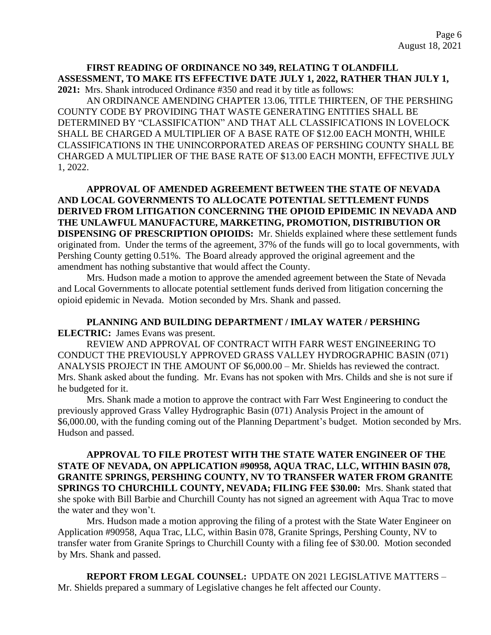## **FIRST READING OF ORDINANCE NO 349, RELATING T OLANDFILL ASSESSMENT, TO MAKE ITS EFFECTIVE DATE JULY 1, 2022, RATHER THAN JULY 1, 2021:** Mrs. Shank introduced Ordinance #350 and read it by title as follows:

AN ORDINANCE AMENDING CHAPTER 13.06, TITLE THIRTEEN, OF THE PERSHING COUNTY CODE BY PROVIDING THAT WASTE GENERATING ENTITIES SHALL BE DETERMINED BY "CLASSIFICATION" AND THAT ALL CLASSIFICATIONS IN LOVELOCK SHALL BE CHARGED A MULTIPLIER OF A BASE RATE OF \$12.00 EACH MONTH, WHILE CLASSIFICATIONS IN THE UNINCORPORATED AREAS OF PERSHING COUNTY SHALL BE CHARGED A MULTIPLIER OF THE BASE RATE OF \$13.00 EACH MONTH, EFFECTIVE JULY 1, 2022.

# **APPROVAL OF AMENDED AGREEMENT BETWEEN THE STATE OF NEVADA AND LOCAL GOVERNMENTS TO ALLOCATE POTENTIAL SETTLEMENT FUNDS DERIVED FROM LITIGATION CONCERNING THE OPIOID EPIDEMIC IN NEVADA AND THE UNLAWFUL MANUFACTURE, MARKETING, PROMOTION, DISTRIBUTION OR DISPENSING OF PRESCRIPTION OPIOIDS:** Mr. Shields explained where these settlement funds originated from. Under the terms of the agreement, 37% of the funds will go to local governments, with Pershing County getting 0.51%. The Board already approved the original agreement and the amendment has nothing substantive that would affect the County.

Mrs. Hudson made a motion to approve the amended agreement between the State of Nevada and Local Governments to allocate potential settlement funds derived from litigation concerning the opioid epidemic in Nevada. Motion seconded by Mrs. Shank and passed.

**PLANNING AND BUILDING DEPARTMENT / IMLAY WATER / PERSHING ELECTRIC:** James Evans was present.

REVIEW AND APPROVAL OF CONTRACT WITH FARR WEST ENGINEERING TO CONDUCT THE PREVIOUSLY APPROVED GRASS VALLEY HYDROGRAPHIC BASIN (071) ANALYSIS PROJECT IN THE AMOUNT OF \$6,000.00 – Mr. Shields has reviewed the contract. Mrs. Shank asked about the funding. Mr. Evans has not spoken with Mrs. Childs and she is not sure if he budgeted for it.

Mrs. Shank made a motion to approve the contract with Farr West Engineering to conduct the previously approved Grass Valley Hydrographic Basin (071) Analysis Project in the amount of \$6,000.00, with the funding coming out of the Planning Department's budget. Motion seconded by Mrs. Hudson and passed.

**APPROVAL TO FILE PROTEST WITH THE STATE WATER ENGINEER OF THE STATE OF NEVADA, ON APPLICATION #90958, AQUA TRAC, LLC, WITHIN BASIN 078, GRANITE SPRINGS, PERSHING COUNTY, NV TO TRANSFER WATER FROM GRANITE SPRINGS TO CHURCHILL COUNTY, NEVADA; FILING FEE \$30.00:** Mrs. Shank stated that she spoke with Bill Barbie and Churchill County has not signed an agreement with Aqua Trac to move the water and they won't.

Mrs. Hudson made a motion approving the filing of a protest with the State Water Engineer on Application #90958, Aqua Trac, LLC, within Basin 078, Granite Springs, Pershing County, NV to transfer water from Granite Springs to Churchill County with a filing fee of \$30.00. Motion seconded by Mrs. Shank and passed.

**REPORT FROM LEGAL COUNSEL:** UPDATE ON 2021 LEGISLATIVE MATTERS – Mr. Shields prepared a summary of Legislative changes he felt affected our County.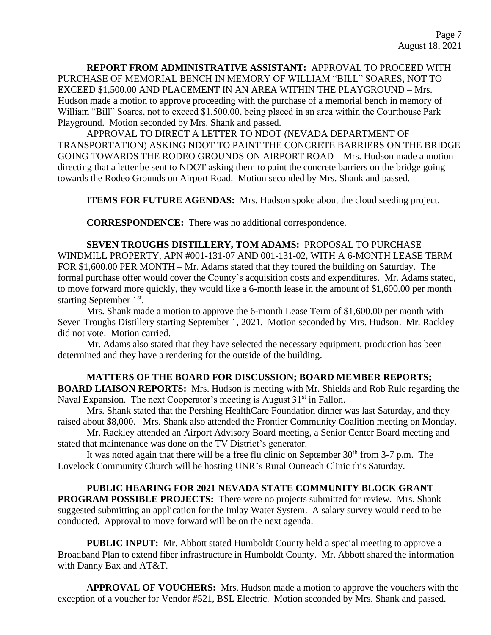**REPORT FROM ADMINISTRATIVE ASSISTANT:** APPROVAL TO PROCEED WITH PURCHASE OF MEMORIAL BENCH IN MEMORY OF WILLIAM "BILL" SOARES, NOT TO EXCEED \$1,500.00 AND PLACEMENT IN AN AREA WITHIN THE PLAYGROUND – Mrs. Hudson made a motion to approve proceeding with the purchase of a memorial bench in memory of William "Bill" Soares, not to exceed \$1,500.00, being placed in an area within the Courthouse Park Playground. Motion seconded by Mrs. Shank and passed.

APPROVAL TO DIRECT A LETTER TO NDOT (NEVADA DEPARTMENT OF TRANSPORTATION) ASKING NDOT TO PAINT THE CONCRETE BARRIERS ON THE BRIDGE GOING TOWARDS THE RODEO GROUNDS ON AIRPORT ROAD – Mrs. Hudson made a motion directing that a letter be sent to NDOT asking them to paint the concrete barriers on the bridge going towards the Rodeo Grounds on Airport Road. Motion seconded by Mrs. Shank and passed.

**ITEMS FOR FUTURE AGENDAS:** Mrs. Hudson spoke about the cloud seeding project.

**CORRESPONDENCE:** There was no additional correspondence.

**SEVEN TROUGHS DISTILLERY, TOM ADAMS:** PROPOSAL TO PURCHASE WINDMILL PROPERTY, APN #001-131-07 AND 001-131-02, WITH A 6-MONTH LEASE TERM FOR \$1,600.00 PER MONTH – Mr. Adams stated that they toured the building on Saturday. The formal purchase offer would cover the County's acquisition costs and expenditures. Mr. Adams stated, to move forward more quickly, they would like a 6-month lease in the amount of \$1,600.00 per month starting September 1<sup>st</sup>.

Mrs. Shank made a motion to approve the 6-month Lease Term of \$1,600.00 per month with Seven Troughs Distillery starting September 1, 2021. Motion seconded by Mrs. Hudson. Mr. Rackley did not vote. Motion carried.

Mr. Adams also stated that they have selected the necessary equipment, production has been determined and they have a rendering for the outside of the building.

### **MATTERS OF THE BOARD FOR DISCUSSION; BOARD MEMBER REPORTS;**

**BOARD LIAISON REPORTS:** Mrs. Hudson is meeting with Mr. Shields and Rob Rule regarding the Naval Expansion. The next Cooperator's meeting is August  $31<sup>st</sup>$  in Fallon.

Mrs. Shank stated that the Pershing HealthCare Foundation dinner was last Saturday, and they raised about \$8,000. Mrs. Shank also attended the Frontier Community Coalition meeting on Monday.

Mr. Rackley attended an Airport Advisory Board meeting, a Senior Center Board meeting and stated that maintenance was done on the TV District's generator.

It was noted again that there will be a free flu clinic on September  $30<sup>th</sup>$  from  $3-7$  p.m. The Lovelock Community Church will be hosting UNR's Rural Outreach Clinic this Saturday.

# **PUBLIC HEARING FOR 2021 NEVADA STATE COMMUNITY BLOCK GRANT**

**PROGRAM POSSIBLE PROJECTS:** There were no projects submitted for review. Mrs. Shank suggested submitting an application for the Imlay Water System. A salary survey would need to be conducted. Approval to move forward will be on the next agenda.

**PUBLIC INPUT:** Mr. Abbott stated Humboldt County held a special meeting to approve a Broadband Plan to extend fiber infrastructure in Humboldt County. Mr. Abbott shared the information with Danny Bax and AT&T.

**APPROVAL OF VOUCHERS:** Mrs. Hudson made a motion to approve the vouchers with the exception of a voucher for Vendor #521, BSL Electric. Motion seconded by Mrs. Shank and passed.